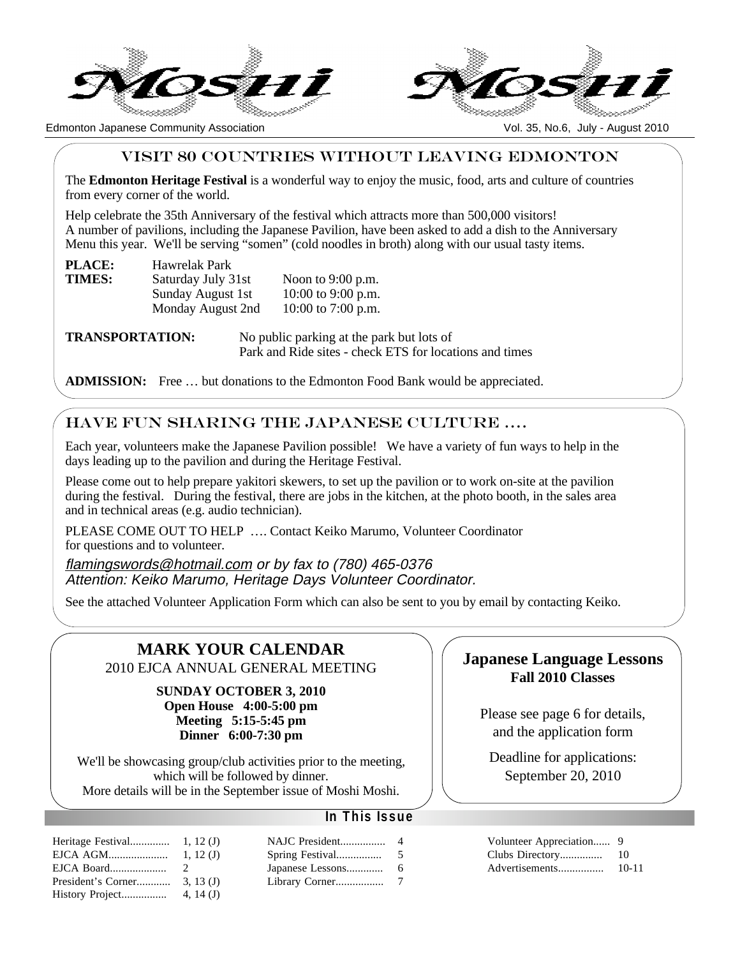



Edmonton Japanese Community Association Vol. 35, No.6, July - August 2010

## VISIT 80 COUNTRIES WITHOUT LEAVING EDMONTON

The **Edmonton Heritage Festival** is a wonderful way to enjoy the music, food, arts and culture of countries from every corner of the world.

Help celebrate the 35th Anniversary of the festival which attracts more than 500,000 visitors! A number of pavilions, including the Japanese Pavilion, have been asked to add a dish to the Anniversary Menu this year. We'll be serving "somen" (cold noodles in broth) along with our usual tasty items.

| <b>PLACE:</b> | Hawrelak Park      |                     |
|---------------|--------------------|---------------------|
| TIMES:        | Saturday July 31st | Noon to $9:00$ p.m. |
|               | Sunday August 1st  | 10:00 to 9:00 p.m.  |
|               | Monday August 2nd  | 10:00 to 7:00 p.m.  |

**TRANSPORTATION:** No public parking at the park but lots of Park and Ride sites - check ETS for locations and times

**ADMISSION:** Free … but donations to the Edmonton Food Bank would be appreciated.

## HAVE FUN SHARing the japanese CULTURE ….

Each year, volunteers make the Japanese Pavilion possible! We have a variety of fun ways to help in the days leading up to the pavilion and during the Heritage Festival.

Please come out to help prepare yakitori skewers, to set up the pavilion or to work on-site at the pavilion during the festival. During the festival, there are jobs in the kitchen, at the photo booth, in the sales area and in technical areas (e.g. audio technician).

PLEASE COME OUT TO HELP …. Contact Keiko Marumo, Volunteer Coordinator for questions and to volunteer.

flamingswords@hotmail.com or by fax to (780) 465-0376 Attention: Keiko Marumo, Heritage Days Volunteer Coordinator.

See the attached Volunteer Application Form which can also be sent to you by email by contacting Keiko.

# **MARK YOUR CALENDAR**

2010 EJCA ANNUAL GENERAL MEETING

**SUNDAY OCTOBER 3, 2010 Open House 4:00-5:00 pm Meeting 5:15-5:45 pm Dinner 6:00-7:30 pm**

We'll be showcasing group/club activities prior to the meeting, which will be followed by dinner. More details will be in the September issue of Moshi Moshi.

## **In This Issue**

| Heritage Festival  | 1, 12(J)      |
|--------------------|---------------|
| EJCA AGM           | 1, 12(J)      |
| EJCA Board         | $\mathcal{L}$ |
| President's Corner | 3.13(J)       |
| History Project    | 4, 14 $(J)$   |

| NAJC President   | 4 |
|------------------|---|
| Spring Festival  | 5 |
| Japanese Lessons | 6 |
| Library Corner   | 7 |

## **Japanese Language Lessons Fall 2010 Classes**

Please see page 6 for details, and the application form

Deadline for applications: September 20, 2010

| Clubs Directory | 10        |
|-----------------|-----------|
| Advertisements  | $10 - 11$ |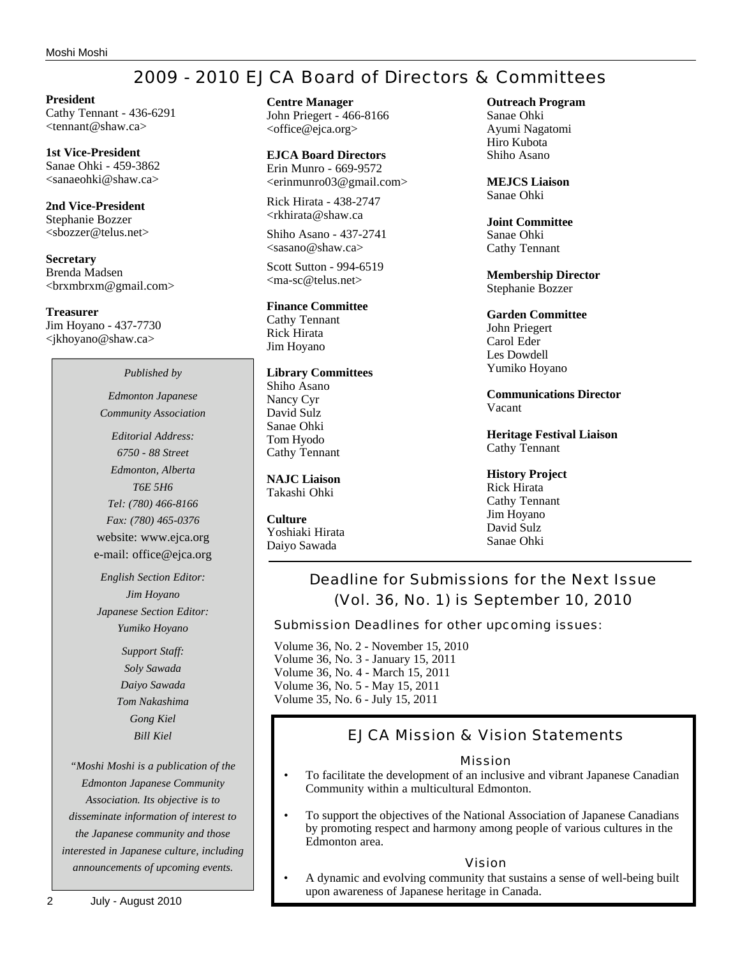# 2009 - 2010 EJCA Board of Directors & Committees

**President** Cathy Tennant - 436-6291 <tennant@shaw.ca>

**1st Vice-President** Sanae Ohki - 459-3862 <sanaeohki@shaw.ca>

**2nd Vice-President** Stephanie Bozzer <sbozzer@telus.net>

**Secretary** Brenda Madsen <brxmbrxm@gmail.com>

**Treasurer** Jim Hoyano - 437-7730 <jkhoyano@shaw.ca>

*Published by*

*Edmonton Japanese Community Association*

*Editorial Address: 6750 - 88 Street Edmonton, Alberta T6E 5H6 Tel: (780) 466-8166 Fax: (780) 465-0376* website: www.ejca.org e-mail: office@ejca.org

*English Section Editor: Jim Hoyano Japanese Section Editor: Yumiko Hoyano*

> *Support Staff: Soly Sawada Daiyo Sawada Tom Nakashima Gong Kiel Bill Kiel*

*"Moshi Moshi is a publication of the Edmonton Japanese Community Association. Its objective is to disseminate information of interest to the Japanese community and those interested in Japanese culture, including announcements of upcoming events.*

**EJCA Board Directors** Erin Munro - 669-9572 <erinmunro03@gmail.com>

Rick Hirata - 438-2747 <rkhirata@shaw.ca

Shiho Asano - 437-2741  $\langle$ sasano@shaw.ca $\rangle$ 

Scott Sutton - 994-6519 <ma-sc@telus.net>

### **Finance Committee**

Cathy Tennant Rick Hirata Jim Hoyano

#### **Library Committees**

Shiho Asano Nancy Cyr David Sulz Sanae Ohki Tom Hyodo Cathy Tennant

**NAJC Liaison** Takashi Ohki

**Culture** Yoshiaki Hirata Daiyo Sawada

**Outreach Program**

Sanae Ohki Ayumi Nagatomi Hiro Kubota Shiho Asano

**MEJCS Liaison** Sanae Ohki

**Joint Committee** Sanae Ohki Cathy Tennant

**Membership Director** Stephanie Bozzer

#### **Garden Committee**

John Priegert Carol Eder Les Dowdell Yumiko Hoyano

**Communications Director** Vacant

**Heritage Festival Liaison** Cathy Tennant

**History Project** Rick Hirata Cathy Tennant Jim Hoyano David Sulz Sanae Ohki

# Deadline for Submissions for the Next Issue (Vol. 36, No. 1) is September 10, 2010

Submission Deadlines for other upcoming issues:

Volume 36, No. 2 - November 15, 2010 Volume 36, No. 3 - January 15, 2011 Volume 36, No. 4 - March 15, 2011 Volume 36, No. 5 - May 15, 2011 Volume 35, No. 6 - July 15, 2011

## EJCA Mission & Vision Statements

### Mission

- To facilitate the development of an inclusive and vibrant Japanese Canadian Community within a multicultural Edmonton.
- To support the objectives of the National Association of Japanese Canadians by promoting respect and harmony among people of various cultures in the Edmonton area.

#### Vision

• A dynamic and evolving community that sustains a sense of well-being built upon awareness of Japanese heritage in Canada.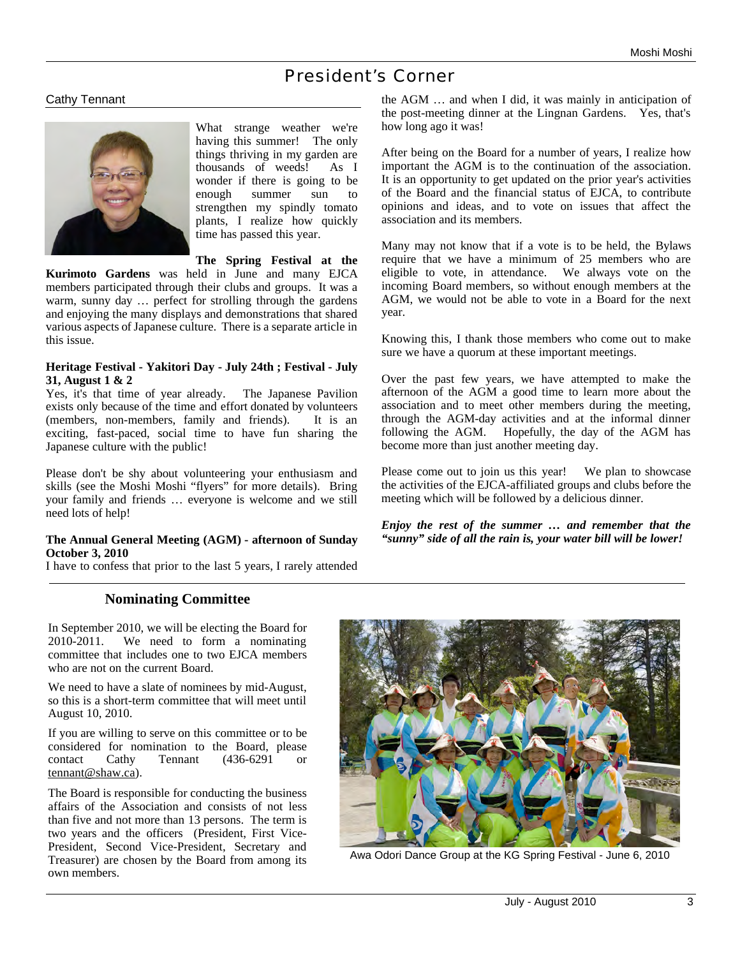# President's Corner

### Cathy Tennant



What strange weather we're having this summer! The only things thriving in my garden are thousands of weeds! As I wonder if there is going to be enough summer sun to strengthen my spindly tomato plants, I realize how quickly time has passed this year.

**The Spring Festival at the** 

**Kurimoto Gardens** was held in June and many EJCA members participated through their clubs and groups. It was a warm, sunny day … perfect for strolling through the gardens and enjoying the many displays and demonstrations that shared various aspects of Japanese culture. There is a separate article in this issue.

#### **Heritage Festival - Yakitori Day - July 24th ; Festival - July 31, August 1 & 2**

Yes, it's that time of year already. The Japanese Pavilion exists only because of the time and effort donated by volunteers (members, non-members, family and friends). It is an exciting, fast-paced, social time to have fun sharing the Japanese culture with the public!

Please don't be shy about volunteering your enthusiasm and skills (see the Moshi Moshi "flyers" for more details). Bring your family and friends … everyone is welcome and we still need lots of help!

#### **The Annual General Meeting (AGM) - afternoon of Sunday October 3, 2010**

I have to confess that prior to the last 5 years, I rarely attended

## **Nominating Committee**

In September 2010, we will be electing the Board for 2010-2011. We need to form a nominating committee that includes one to two EJCA members who are not on the current Board.

We need to have a slate of nominees by mid-August, so this is a short-term committee that will meet until August 10, 2010.

If you are willing to serve on this committee or to be considered for nomination to the Board, please contact Cathy Tennant (436-6291 or tennant@shaw.ca).

The Board is responsible for conducting the business affairs of the Association and consists of not less than five and not more than 13 persons. The term is two years and the officers (President, First Vice-President, Second Vice-President, Secretary and Treasurer) are chosen by the Board from among its own members.

the AGM … and when I did, it was mainly in anticipation of the post-meeting dinner at the Lingnan Gardens. Yes, that's how long ago it was!

After being on the Board for a number of years, I realize how important the AGM is to the continuation of the association. It is an opportunity to get updated on the prior year's activities of the Board and the financial status of EJCA, to contribute opinions and ideas, and to vote on issues that affect the association and its members.

Many may not know that if a vote is to be held, the Bylaws require that we have a minimum of 25 members who are eligible to vote, in attendance. We always vote on the incoming Board members, so without enough members at the AGM, we would not be able to vote in a Board for the next year.

Knowing this, I thank those members who come out to make sure we have a quorum at these important meetings.

Over the past few years, we have attempted to make the afternoon of the AGM a good time to learn more about the association and to meet other members during the meeting, through the AGM-day activities and at the informal dinner following the AGM. Hopefully, the day of the AGM has become more than just another meeting day.

Please come out to join us this year! We plan to showcase the activities of the EJCA-affiliated groups and clubs before the meeting which will be followed by a delicious dinner.

*Enjoy the rest of the summer … and remember that the "sunny" side of all the rain is, your water bill will be lower!*



Awa Odori Dance Group at the KG Spring Festival - June 6, 2010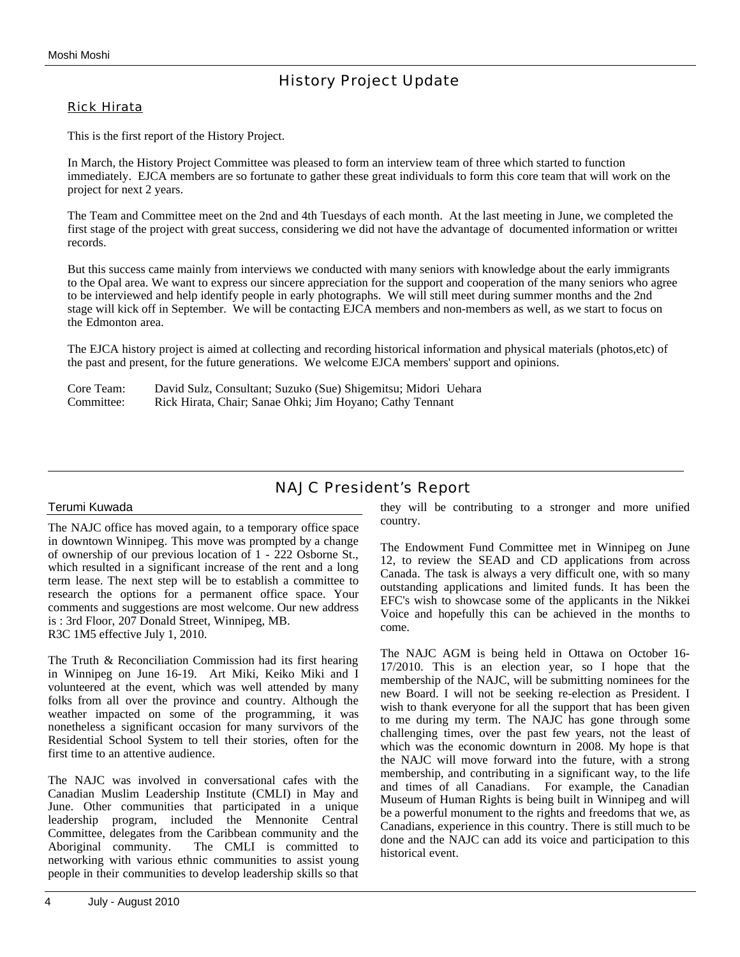# History Project Update

### Rick Hirata

This is the first report of the History Project.

In March, the History Project Committee was pleased to form an interview team of three which started to function immediately. EJCA members are so fortunate to gather these great individuals to form this core team that will work on the project for next 2 years.

The Team and Committee meet on the 2nd and 4th Tuesdays of each month. At the last meeting in June, we completed the first stage of the project with great success, considering we did not have the advantage of documented information or written records.

But this success came mainly from interviews we conducted with many seniors with knowledge about the early immigrants to the Opal area. We want to express our sincere appreciation for the support and cooperation of the many seniors who agreed to be interviewed and help identify people in early photographs. We will still meet during summer months and the 2nd stage will kick off in September. We will be contacting EJCA members and non-members as well, as we start to focus on the Edmonton area.

The EJCA history project is aimed at collecting and recording historical information and physical materials (photos,etc) of the past and present, for the future generations. We welcome EJCA members' support and opinions.

| Core Team: | David Sulz, Consultant; Suzuko (Sue) Shigemitsu; Midori Uehara |
|------------|----------------------------------------------------------------|
| Committee: | Rick Hirata, Chair; Sanae Ohki; Jim Hoyano; Cathy Tennant      |

## NAJC President's Report

#### Terumi Kuwada

The NAJC office has moved again, to a temporary office space in downtown Winnipeg. This move was prompted by a change of ownership of our previous location of 1 - 222 Osborne St., which resulted in a significant increase of the rent and a long term lease. The next step will be to establish a committee to research the options for a permanent office space. Your comments and suggestions are most welcome. Our new address is : 3rd Floor, 207 Donald Street, Winnipeg, MB. R3C 1M5 effective July 1, 2010.

The Truth & Reconciliation Commission had its first hearing in Winnipeg on June 16-19. Art Miki, Keiko Miki and I volunteered at the event, which was well attended by many folks from all over the province and country. Although the weather impacted on some of the programming, it was nonetheless a significant occasion for many survivors of the Residential School System to tell their stories, often for the first time to an attentive audience.

The NAJC was involved in conversational cafes with the Canadian Muslim Leadership Institute (CMLI) in May and June. Other communities that participated in a unique leadership program, included the Mennonite Central Committee, delegates from the Caribbean community and the Aboriginal community. The CMLI is committed to networking with various ethnic communities to assist young people in their communities to develop leadership skills so that they will be contributing to a stronger and more unified country.

The Endowment Fund Committee met in Winnipeg on June 12, to review the SEAD and CD applications from across Canada. The task is always a very difficult one, with so many outstanding applications and limited funds. It has been the EFC's wish to showcase some of the applicants in the Nikkei Voice and hopefully this can be achieved in the months to come.

The NAJC AGM is being held in Ottawa on October 16- 17/2010. This is an election year, so I hope that the membership of the NAJC, will be submitting nominees for the new Board. I will not be seeking re-election as President. I wish to thank everyone for all the support that has been given to me during my term. The NAJC has gone through some challenging times, over the past few years, not the least of which was the economic downturn in 2008. My hope is that the NAJC will move forward into the future, with a strong membership, and contributing in a significant way, to the life and times of all Canadians. For example, the Canadian Museum of Human Rights is being built in Winnipeg and will be a powerful monument to the rights and freedoms that we, as Canadians, experience in this country. There is still much to be done and the NAJC can add its voice and participation to this historical event.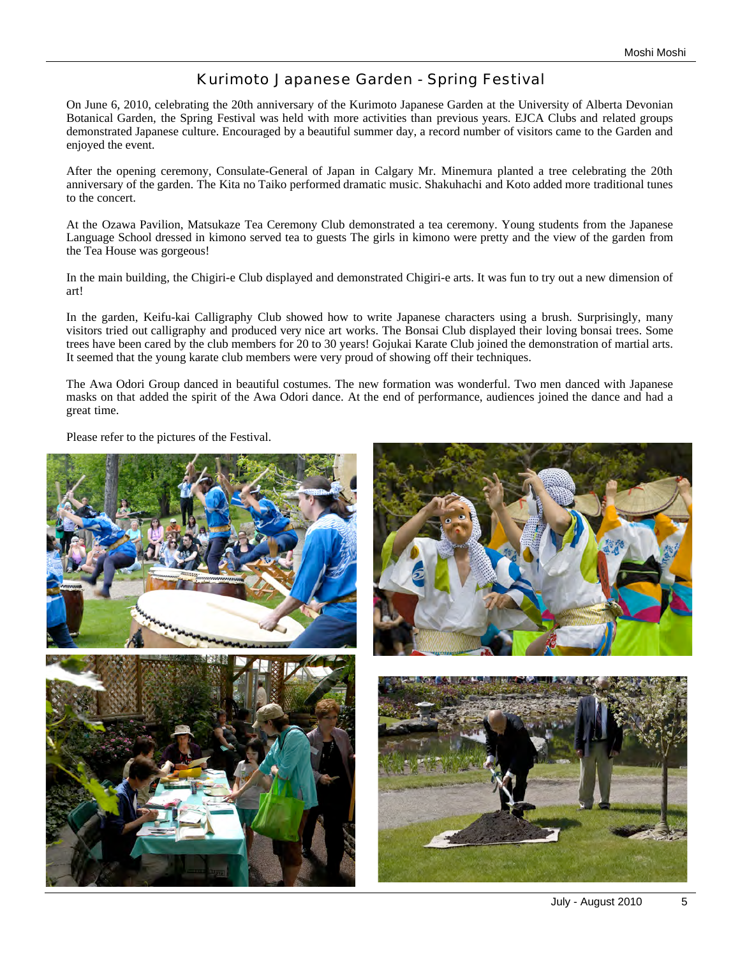## Kurimoto Japanese Garden - Spring Festival

On June 6, 2010, celebrating the 20th anniversary of the Kurimoto Japanese Garden at the University of Alberta Devonian Botanical Garden, the Spring Festival was held with more activities than previous years. EJCA Clubs and related groups demonstrated Japanese culture. Encouraged by a beautiful summer day, a record number of visitors came to the Garden and enjoyed the event.

After the opening ceremony, Consulate-General of Japan in Calgary Mr. Minemura planted a tree celebrating the 20th anniversary of the garden. The Kita no Taiko performed dramatic music. Shakuhachi and Koto added more traditional tunes to the concert.

At the Ozawa Pavilion, Matsukaze Tea Ceremony Club demonstrated a tea ceremony. Young students from the Japanese Language School dressed in kimono served tea to guests The girls in kimono were pretty and the view of the garden from the Tea House was gorgeous!

In the main building, the Chigiri-e Club displayed and demonstrated Chigiri-e arts. It was fun to try out a new dimension of art!

In the garden, Keifu-kai Calligraphy Club showed how to write Japanese characters using a brush. Surprisingly, many visitors tried out calligraphy and produced very nice art works. The Bonsai Club displayed their loving bonsai trees. Some trees have been cared by the club members for 20 to 30 years! Gojukai Karate Club joined the demonstration of martial arts. It seemed that the young karate club members were very proud of showing off their techniques.

The Awa Odori Group danced in beautiful costumes. The new formation was wonderful. Two men danced with Japanese masks on that added the spirit of the Awa Odori dance. At the end of performance, audiences joined the dance and had a great time.

Please refer to the pictures of the Festival.

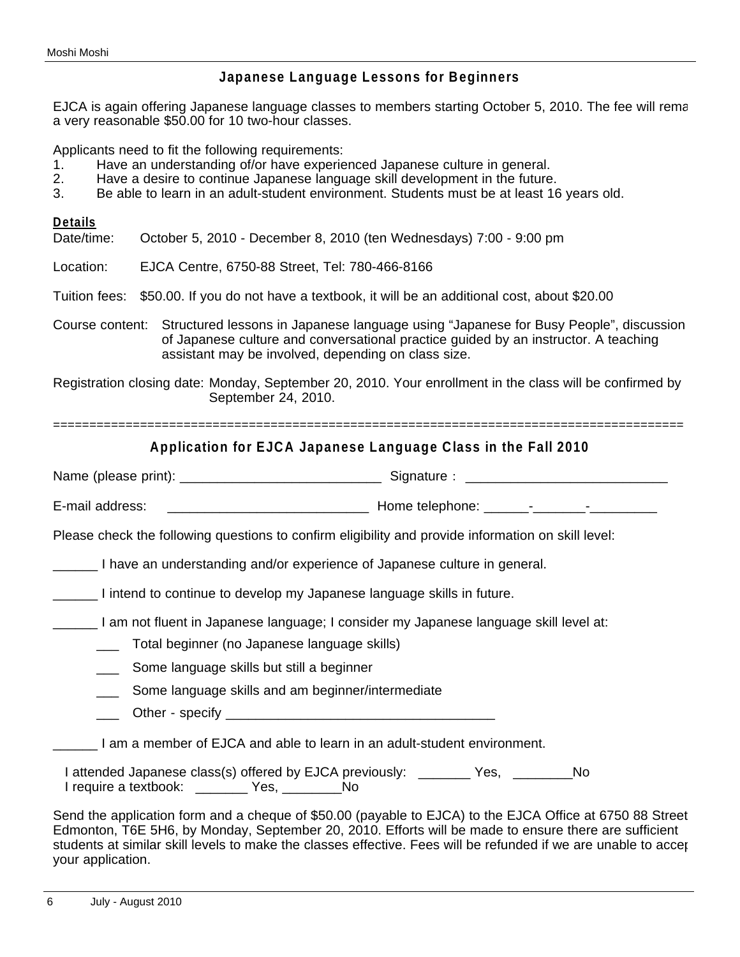## **Japanese Language Lessons for Beginners**

EJCA is again offering Japanese language classes to members starting October 5, 2010. The fee will rema a very reasonable \$50.00 for 10 two-hour classes.

Applicants need to fit the following requirements:

- 1. Have an understanding of/or have experienced Japanese culture in general.
- 2. Have a desire to continue Japanese language skill development in the future.
- 3. Be able to learn in an adult-student environment. Students must be at least 16 years old.

### **Details**

Date/time: October 5, 2010 - December 8, 2010 (ten Wednesdays) 7:00 - 9:00 pm

Location: EJCA Centre, 6750-88 Street, Tel: 780-466-8166

Tuition fees: \$50.00. If you do not have a textbook, it will be an additional cost, about \$20.00

Course content: Structured lessons in Japanese language using "Japanese for Busy People", discussion of Japanese culture and conversational practice guided by an instructor. A teaching assistant may be involved, depending on class size.

Registration closing date: Monday, September 20, 2010. Your enrollment in the class will be confirmed by September 24, 2010.

=======================================================================================

## **Application for EJCA Japanese Language Class in the Fall 2010**

Name (please print): \_\_\_\_\_\_\_\_\_\_\_\_\_\_\_\_\_\_\_\_\_\_\_\_\_\_\_ Signature: \_\_\_\_\_\_\_\_\_\_\_\_\_\_\_\_\_\_\_\_\_\_\_\_\_\_\_

E-mail address: \_\_\_\_\_\_\_\_\_\_\_\_\_\_\_\_\_\_\_\_\_\_\_\_\_\_\_ Home telephone: \_\_\_\_\_\_-\_\_\_\_\_\_\_-\_\_\_\_\_\_\_\_\_

Please check the following questions to confirm eligibility and provide information on skill level:

\_\_\_\_\_\_ I have an understanding and/or experience of Japanese culture in general.

\_\_\_\_\_\_ I intend to continue to develop my Japanese language skills in future.

\_\_\_\_\_\_ I am not fluent in Japanese language; I consider my Japanese language skill level at:

\_\_\_ Total beginner (no Japanese language skills)

**Some language skills but still a beginner** 

**EXED Some language skills and am beginner/intermediate** 

\_\_\_ Other - specify \_\_\_\_\_\_\_\_\_\_\_\_\_\_\_\_\_\_\_\_\_\_\_\_\_\_\_\_\_\_\_\_\_\_\_\_

\_\_\_\_\_\_ I am a member of EJCA and able to learn in an adult-student environment.

I attended Japanese class(s) offered by EJCA previously: \_\_\_\_\_\_\_ Yes, \_\_\_\_\_\_\_No I require a textbook: The Mo

Send the application form and a cheque of \$50.00 (payable to EJCA) to the EJCA Office at 6750 88 Street, Edmonton, T6E 5H6, by Monday, September 20, 2010. Efforts will be made to ensure there are sufficient students at similar skill levels to make the classes effective. Fees will be refunded if we are unable to accer your application.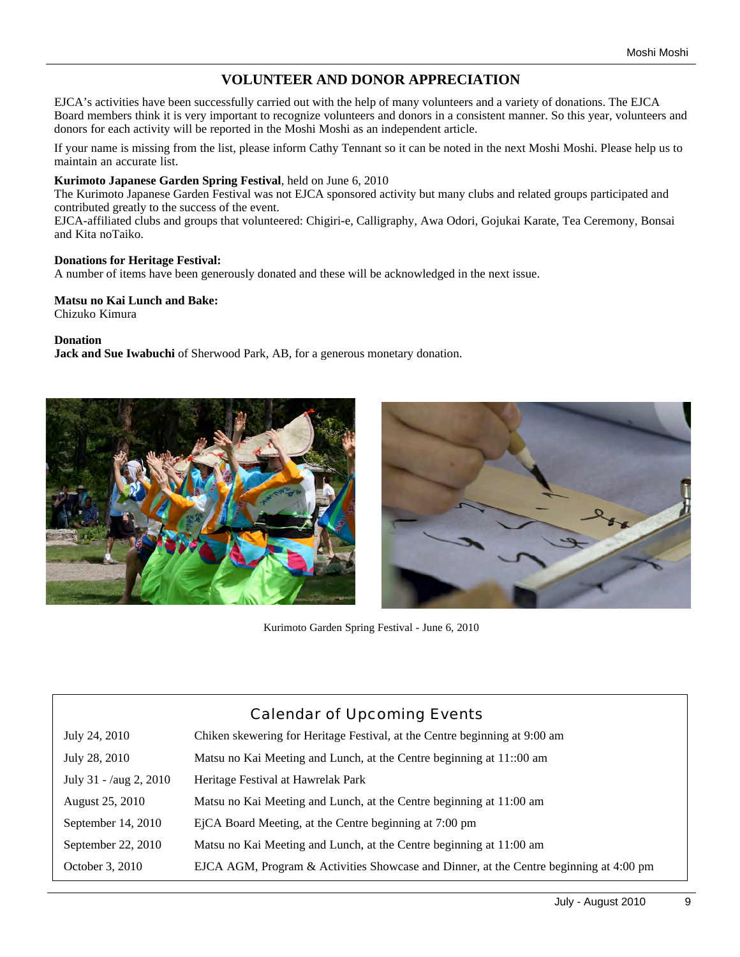# **VOLUNTEER AND DONOR APPRECIATION**

EJCA's activities have been successfully carried out with the help of many volunteers and a variety of donations. The EJCA Board members think it is very important to recognize volunteers and donors in a consistent manner. So this year, volunteers and donors for each activity will be reported in the Moshi Moshi as an independent article.

If your name is missing from the list, please inform Cathy Tennant so it can be noted in the next Moshi Moshi. Please help us to maintain an accurate list.

#### **Kurimoto Japanese Garden Spring Festival**, held on June 6, 2010

The Kurimoto Japanese Garden Festival was not EJCA sponsored activity but many clubs and related groups participated and contributed greatly to the success of the event.

EJCA-affiliated clubs and groups that volunteered: Chigiri-e, Calligraphy, Awa Odori, Gojukai Karate, Tea Ceremony, Bonsai and Kita noTaiko.

#### **Donations for Heritage Festival:**

A number of items have been generously donated and these will be acknowledged in the next issue.

## **Matsu no Kai Lunch and Bake:**

Chizuko Kimura

**Donation**

**Jack and Sue Iwabuchi** of Sherwood Park, AB, for a generous monetary donation.





Kurimoto Garden Spring Festival - June 6, 2010

| Calendar of Upcoming Events |                                                                                        |  |  |
|-----------------------------|----------------------------------------------------------------------------------------|--|--|
| July 24, 2010               | Chiken skewering for Heritage Festival, at the Centre beginning at 9:00 am             |  |  |
| July 28, 2010               | Matsu no Kai Meeting and Lunch, at the Centre beginning at 11:00 am                    |  |  |
| July 31 - $/aug\ 2, 2010$   | Heritage Festival at Hawrelak Park                                                     |  |  |
| August 25, 2010             | Matsu no Kai Meeting and Lunch, at the Centre beginning at 11:00 am                    |  |  |
| September 14, 2010          | EjCA Board Meeting, at the Centre beginning at 7:00 pm                                 |  |  |
| September 22, 2010          | Matsu no Kai Meeting and Lunch, at the Centre beginning at 11:00 am                    |  |  |
| October 3, 2010             | EJCA AGM, Program & Activities Showcase and Dinner, at the Centre beginning at 4:00 pm |  |  |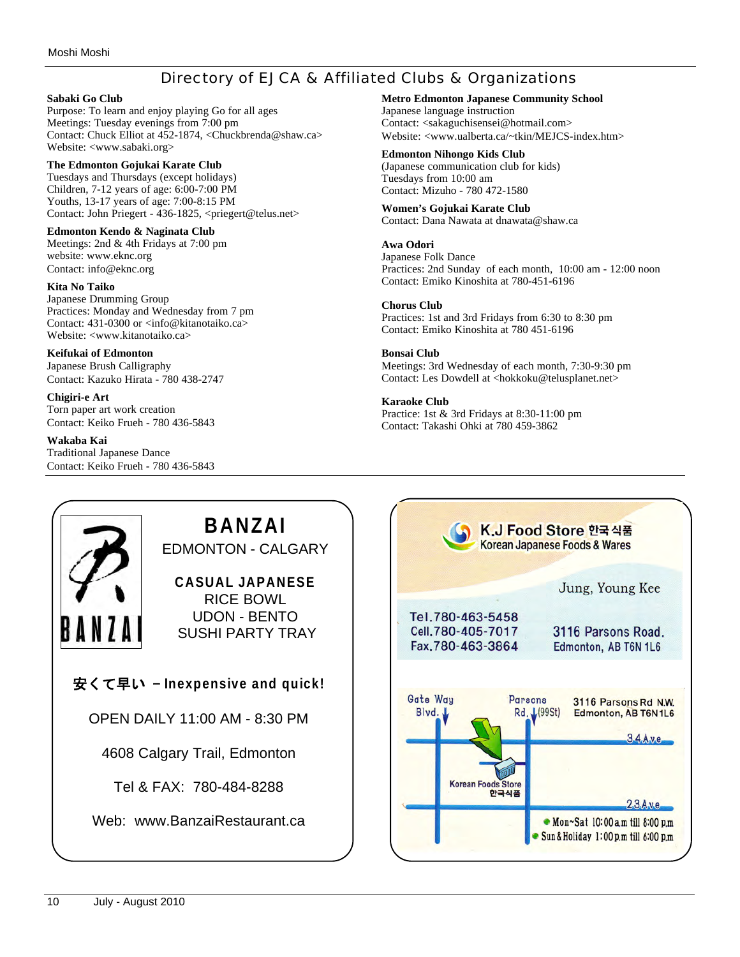## Directory of EJCA & Affiliated Clubs & Organizations

#### **Sabaki Go Club**

Purpose: To learn and enjoy playing Go for all ages Meetings: Tuesday evenings from 7:00 pm Contact: Chuck Elliot at 452-1874, <Chuckbrenda@shaw.ca> Website: <www.sabaki.org>

#### **The Edmonton Gojukai Karate Club**

Tuesdays and Thursdays (except holidays) Children, 7-12 years of age: 6:00-7:00 PM Youths, 13-17 years of age: 7:00-8:15 PM Contact: John Priegert - 436-1825, <priegert@telus.net>

#### **Edmonton Kendo & Naginata Club**

Meetings: 2nd & 4th Fridays at 7:00 pm website: www.eknc.org Contact: info@eknc.org

#### **Kita No Taiko**

Japanese Drumming Group Practices: Monday and Wednesday from 7 pm Contact: 431-0300 or <info@kitanotaiko.ca> Website: <www.kitanotaiko.ca>

#### **Keifukai of Edmonton**

Japanese Brush Calligraphy Contact: Kazuko Hirata - 780 438-2747

#### **Chigiri-e Art**

Torn paper art work creation Contact: Keiko Frueh - 780 436-5843

#### **Wakaba Kai**

Traditional Japanese Dance Contact: Keiko Frueh - 780 436-5843

#### **Metro Edmonton Japanese Community School** Japanese language instruction Contact: <sakaguchisensei@hotmail.com> Website: <www.ualberta.ca/~tkin/MEJCS-index.htm>

**Edmonton Nihongo Kids Club** (Japanese communication club for kids) Tuesdays from 10:00 am

#### Contact: Mizuho - 780 472-1580 **Women's Gojukai Karate Club**

Contact: Dana Nawata at dnawata@shaw.ca

#### **Awa Odori**

Japanese Folk Dance Practices: 2nd Sunday of each month, 10:00 am - 12:00 noon Contact: Emiko Kinoshita at 780-451-6196

#### **Chorus Club**

Practices: 1st and 3rd Fridays from 6:30 to 8:30 pm Contact: Emiko Kinoshita at 780 451-6196

### **Bonsai Club**

Meetings: 3rd Wednesday of each month, 7:30-9:30 pm Contact: Les Dowdell at <hokkoku@telusplanet.net>

#### **Karaoke Club**

Practice: 1st & 3rd Fridays at 8:30-11:00 pm Contact: Takashi Ohki at 780 459-3862

#### **BANZAI** K.J Food Store 한국식품 Korean Japanese Foods & Wares EDMONTON - CALGARY **CASUAL JAPANESE** Jung, Young Kee RICE BOWL UDON - BENTO Tel.780-463-5458 Cell.780-405-7017 3116 Parsons Road. SUSHI PARTY TRAY Fax.780-463-3864 Edmonton, AB T6N 1L6 安くて早い - **Inexpensive and quick!** Gate Way Parsons 3116 Parsons Rd N.W. Blyd Rd. L(99St) Edmonton, AB T6N 1L6 OPEN DAILY 11:00 AM - 8:30 PM  $3.4$  Ave 4608 Calgary Trail, Edmonton **Korean Foods Store** Tel & FAX: 780-484-8288 한국식품  $2.3$  Aye. Web: www.BanzaiRestaurant.ca• Mon~Sat 10:00 a.m till 8:00 p.m Sun & Holiday 1:00 p.m till 6:00 p.m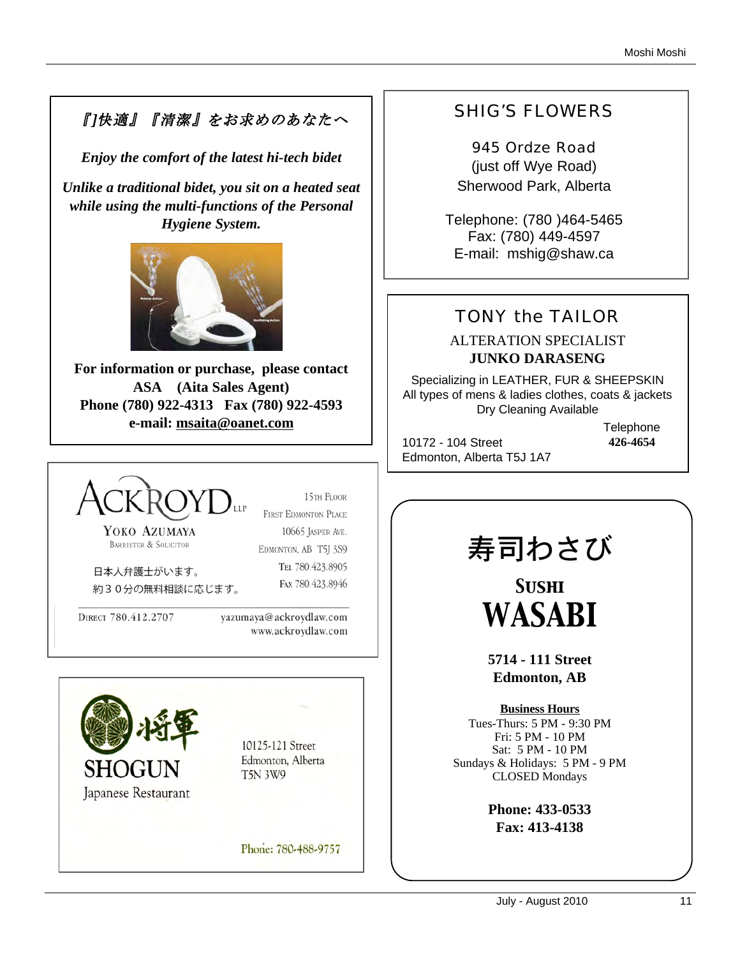# 『]快適』『清潔』をお求めのあなたへ

*Enjoy the comfort of the latest hi-tech bidet*

*Unlike a traditional bidet, you sit on a heated seat while using the multi-functions of the Personal Hygiene System.* 



**For information or purchase, please contact ASA (Aita Sales Agent) Phone (780) 922-4313 Fax (780) 922-4593 e-mail: msaita@oanet.com**



15TH FLOOR **FIRST EDMONTON PLACE** 

YOKO AZUMAYA BARRISTER & SOLICITOR

10665 JASPER AVE. EDMONTON, AB T5J 3S9 TEL 780.423.8905 FAX 780.423.8946

日本人弁護士がいます。 約30分の無料相談に応じます。

DIRECT 780.412.2707

yazumaya@ackroydlaw.com www.ackroydlaw.com



10125-121 Street Edmonton, Alberta **T5N 3W9** 

Phone: 780-488-9757

# SHIG'S FLOWERS

945 Ordze Road (just off Wye Road) Sherwood Park, Alberta

Telephone: (780 )464-5465 Fax: (780) 449-4597 E-mail: mshig@shaw.ca

# TONY the TAILOR

## ALTERATION SPECIALIST **JUNKO DARASENG**

Specializing in LEATHER, FUR & SHEEPSKIN All types of mens & ladies clothes, coats & jackets Dry Cleaning Available

10172 - 104 Street Edmonton, Alberta T5J 1A7 **Telephone 426-4654**

寿司わさび

*Sushi WASABI*

**5714 - 111 Street Edmonton, AB**

**Business Hours** Tues-Thurs: 5 PM - 9:30 PM Fri: 5 PM - 10 PM Sat: 5 PM - 10 PM Sundays & Holidays: 5 PM - 9 PM CLOSED Mondays

> **Phone: 433-0533 Fax: 413-4138**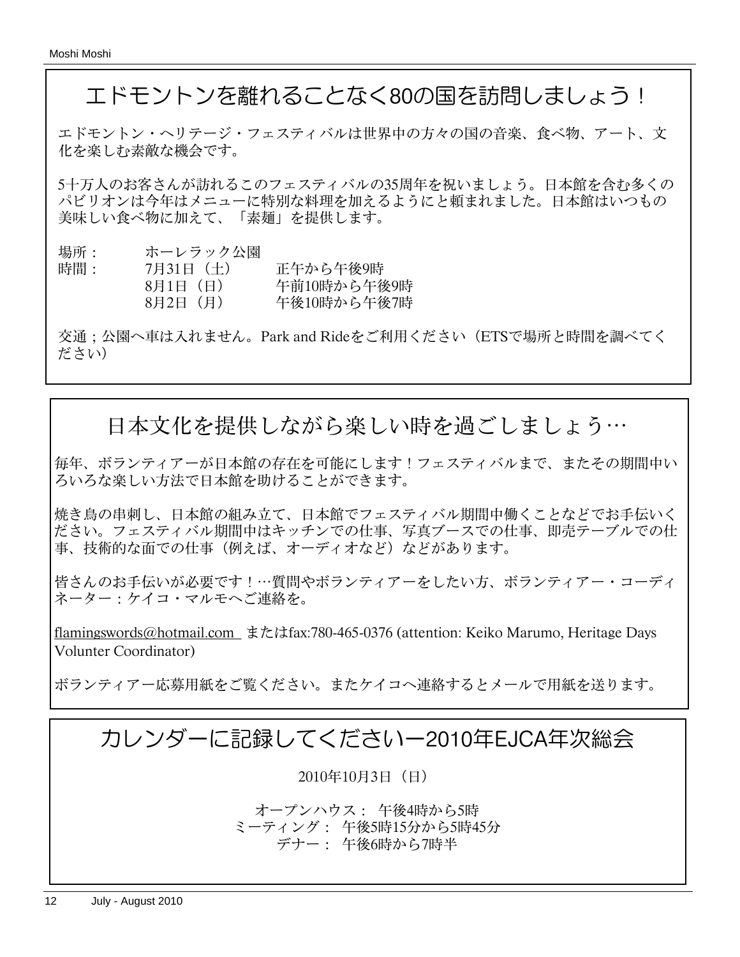# エドモントンを離れることなく80の国を訪問しましょう!

エドモントン・へリテージ・フェスティバルは世界中の方々の国の音楽、食べ物、アート、文 化を楽しむ素敵な機会です。

5十万人のお客さんが訪れるこのフェスティバルの35周年を祝いましょう。日本館を含む多くの パビリオンは今年はメニューに特別な料理を加えるようにと頼まれました。日本館はいつもの 美味しい食べ物に加えて、「素麺」を提供します。

| 場所: | ホーレラック公園 |             |
|-----|----------|-------------|
| 時間: | 7月31日(土) | 正午から午後9時    |
|     | 8月1日 (日) | 午前10時から午後9時 |
|     | 8月2日 (月) | 午後10時から午後7時 |

交通;公園へ車は入れません。Park and Rideをご利用ください(ETSで場所と時間を調べてく ださい)

# 日本文化を提供しながら楽しい時を過ごしましょう⋯

毎年、ボランティアーが日本館の存在を可能にします!フェスティバルまで、またその期間中い ろいろな楽しい方法で日本館を助けることができます。

焼き鳥の串刺し、日本館の組み立て、日本館でフェスティバル期間中働くことなどでお手伝いく ださい。フェスティバル期間中はキッチンでの仕事、写真ブースでの仕事、即売テーブルでの仕 事、技術的な面での仕事(例えば、オーディオなど)などがあります。

皆さんのお手伝いが必要です!⋯質問やボランティアーをしたい方、ボランティアー・コーディ ネーター:ケイコ・マルモへご連絡を。

flamingswords@hotmail.com またはfax:780-465-0376 (attention: Keiko Marumo, Heritage Days Volunter Coordinator)

ボランティアー応募用紙をご覧ください。またケイコへ連絡するとメールで用紙を送ります。

# カレンダーに記録してくださいー2010年EJCA年次総会

2010年10月3日(日)

オープンハウス: 午後4時から5時 ミーティング: 午後5時15分から5時45分 デナー: 午後6時から7時半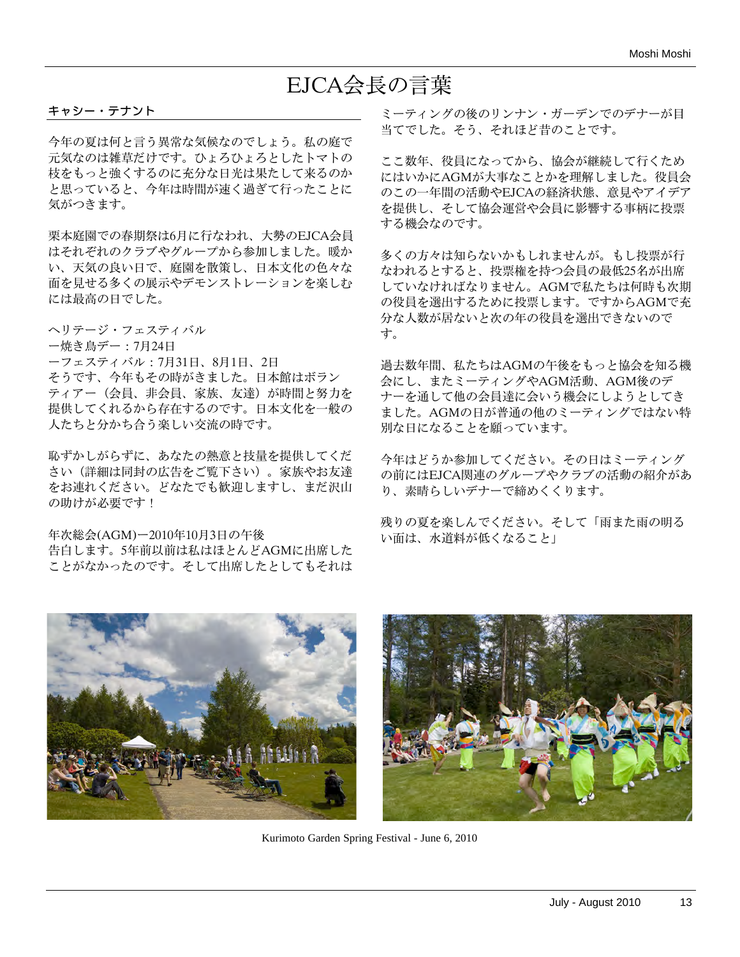# EJCA会長の言葉

#### キャシー・テナント

今年の夏は何と言う異常な気候なのでしょう。私の庭で 元気なのは雑草だけです。ひょろひょろとしたトマトの 枝をもっと強くするのに充分な日光は果たして来るのか と思っていると、今年は時間が速く過ぎて行ったことに 気がつきます。

栗本庭園での春期祭は6月に行なわれ、大勢のEJCA会員 はそれぞれのクラブやグループから参加しました。暖か い、天気の良い日で、庭園を散策し、日本文化の色々な 面を見せる多くの展示やデモンストレーションを楽しむ には最高の日でした。

ヘリテージ・フェスティバル

ー焼き鳥デー:7月24日

ーフェスティバル:7月31日、8月1日、2日

そうです、今年もその時がきました。日本館はボラン ティアー(会員、非会員、家族、友達)が時間と努力を 提供してくれるから存在するのです。日本文化を一般の 人たちと分かち合う楽しい交流の時です。

恥ずかしがらずに、あなたの熱意と技量を提供してくだ さい(詳細は同封の広告をご覧下さい)。家族やお友達 をお連れください。どなたでも歓迎しますし、まだ沢山 の助けが必要です!

年次総会(AGM)ー2010年10月3日の午後 告白します。5年前以前は私はほとんどAGMに出席した ことがなかったのです。そして出席したとしてもそれは ミーティングの後のリンナン・ガーデンでのデナーが目 当てでした。そう、それほど昔のことです。

ここ数年、役員になってから、協会が継続して行くため にはいかにAGMが大事なことかを理解しました。役員会 のこの一年間の活動やEJCAの経済状態、意見やアイデア を提供し、そして協会運営や会員に影響する事柄に投票 する機会なのです。

多くの方々は知らないかもしれませんが。もし投票が行 なわれるとすると、投票権を持つ会員の最低25名が出席 していなければなりません。AGMで私たちは何時も次期 の役員を選出するために投票します。ですからAGMで充 分な人数が居ないと次の年の役員を選出できないので す。

過去数年間、私たちはAGMの午後をもっと協会を知る機 会にし、またミーティングやAGM活動、AGM後のデ ナーを通して他の会員達に会いう機会にしようとしてき ました。AGMの日が普通の他のミーティングではない特 別な日になることを願っています。

今年はどうか参加してください。その日はミーティング の前にはEJCA関連のグループやクラブの活動の紹介があ り、素晴らしいデナーで締めくくります。

残りの夏を楽しんでください。そして「雨また雨の明る い面は、水道料が低くなること」





Kurimoto Garden Spring Festival - June 6, 2010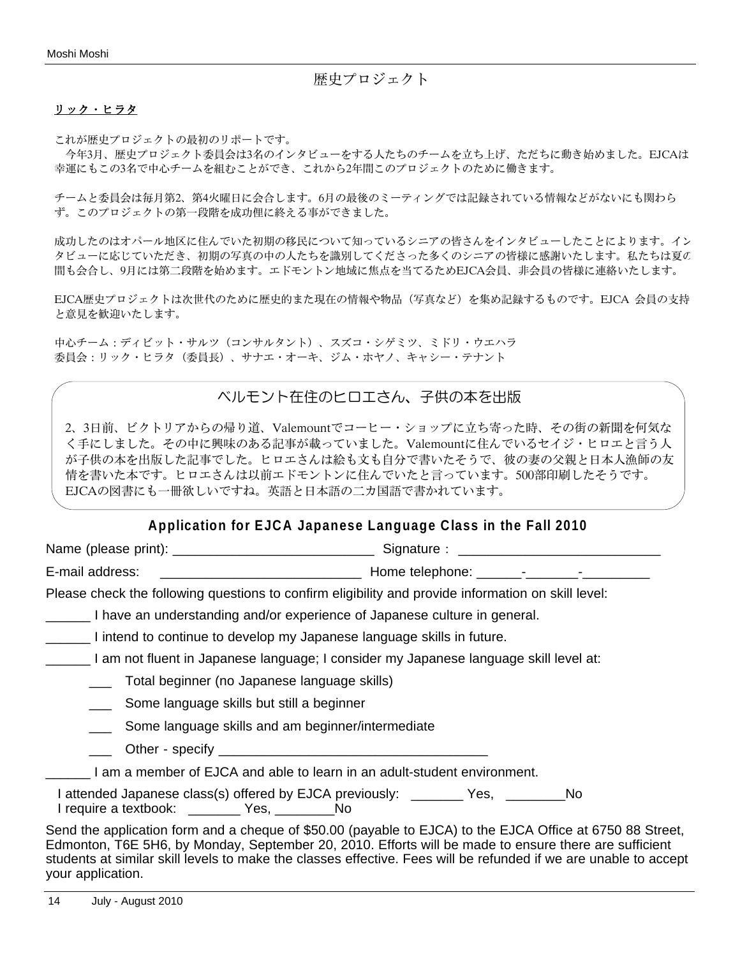歴史プロジェクト

#### リック・ヒラタ

これが歴史プロジェクトの最初のリポートです。

 今年3月、歴史プロジェクト委員会は3名のインタビューをする人たちのチームを立ち上げ、ただちに動き始めました。EJCAは 幸運にもこの3名で中心チームを組むことができ、これから2年間このプロジェクトのために働きます。

チームと委員会は毎月第2、第4火曜日に会合します。6月の最後のミーティングでは記録されている情報などがないにも関わら ず。このプロジェクトの第一段階を成功俚に終える事ができました。

成功したのはオパール地区に住んでいた初期の移民について知っているシニアの皆さんをインタビューしたことによります。イン タビューに応じていただき、初期の写真の中の人たちを識別してくださった多くのシニアの皆様に感謝いたします。私たちは夏の 間も会合し、9月には第二段階を始めます。エドモントン地域に焦点を当てるためEJCA会員、非会員の皆様に連絡いたします。

EJCA歴史プロジェクトは次世代のために歴史的また現在の情報や物品(写真など)を集め記録するものです。EJCA 会員の支持 と意見を歓迎いたします。

中心チーム:ディビット・サルツ(コンサルタント)、スズコ・シゲミツ、ミドリ・ウエハラ 委員会:リック・ヒラタ(委員長)、サナエ・オーキ、ジム・ホヤノ、キャシー・テナント

## ベルモント在住のヒロエさん、子供の本を出版

2、3日前、ビクトリアからの帰り道、Valemountでコーヒー・ショップに立ち寄った時、その街の新聞を何気な く手にしました。その中に興味のある記事が載っていました。Valemountに住んでいるセイジ・ヒロエと言う人 が子供の本を出版した記事でした。ヒロエさんは絵も文も自分で書いたそうで、彼の妻の父親と日本人漁師の友 情を書いた本です。ヒロエさんは以前エドモントンに住んでいたと言っています。500部印刷したそうです。 EJCAの図書にも一冊欲しいですね。英語と日本語の二カ国語で書かれています。

### **Application for EJCA Japanese Language Class in the Fall 2010**

Name (please print): \_\_\_\_\_\_\_\_\_\_\_\_\_\_\_\_\_\_\_\_\_\_\_\_\_\_\_ Signature: \_\_\_\_\_\_\_\_\_\_\_\_\_\_\_\_\_\_\_\_\_\_\_\_\_\_\_

E-mail address: \_\_\_\_\_\_\_\_\_\_\_\_\_\_\_\_\_\_\_\_\_\_\_\_\_\_\_ Home telephone: \_\_\_\_\_\_-\_\_\_\_\_\_\_-\_\_\_\_\_\_\_\_\_

Please check the following questions to confirm eligibility and provide information on skill level:

I have an understanding and/or experience of Japanese culture in general.

\_\_\_\_\_\_ I intend to continue to develop my Japanese language skills in future.

I am not fluent in Japanese language; I consider my Japanese language skill level at:

\_\_\_ Total beginner (no Japanese language skills)

\_\_\_ Some language skills but still a beginner

\_\_\_ Some language skills and am beginner/intermediate

Other - specify

\_\_\_\_\_\_ I am a member of EJCA and able to learn in an adult-student environment.

I attended Japanese class(s) offered by EJCA previously: \_\_\_\_\_\_\_ Yes, \_\_\_\_\_\_\_\_No I require a textbook: \_\_\_\_\_\_\_ Yes, \_\_\_\_\_\_\_\_No

Send the application form and a cheque of \$50.00 (payable to EJCA) to the EJCA Office at 6750 88 Street, Edmonton, T6E 5H6, by Monday, September 20, 2010. Efforts will be made to ensure there are sufficient students at similar skill levels to make the classes effective. Fees will be refunded if we are unable to accept your application.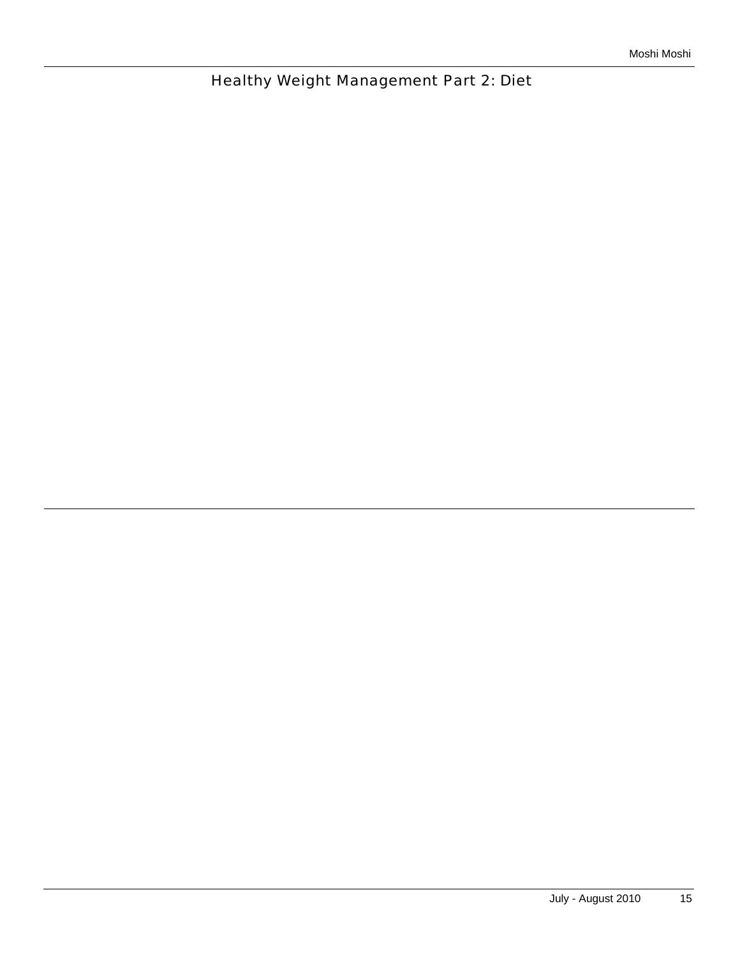Healthy Weight Management Part 2: Diet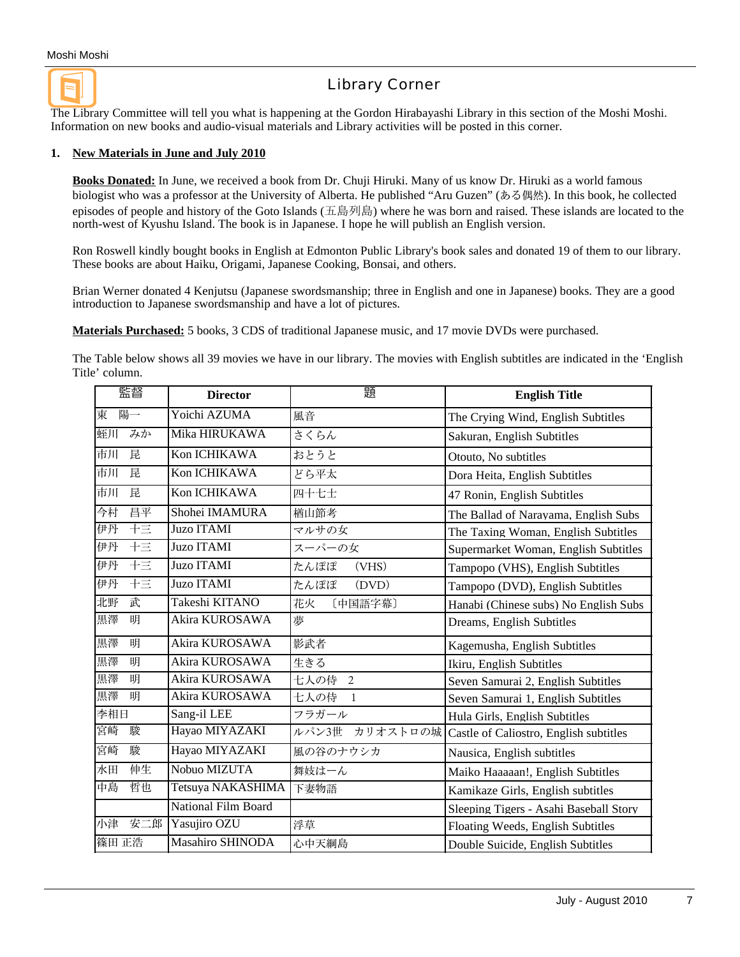

## Library Corner

The Library Committee will tell you what is happening at the Gordon Hirabayashi Library in this section of the Moshi Moshi. Information on new books and audio-visual materials and Library activities will be posted in this corner.

#### **1. New Materials in June and July 2010**

**Books Donated:** In June, we received a book from Dr. Chuji Hiruki. Many of us know Dr. Hiruki as a world famous biologist who was a professor at the University of Alberta. He published "Aru Guzen" (ある偶然). In this book, he collected episodes of people and history of the Goto Islands (五島列島) where he was born and raised. These islands are located to the north-west of Kyushu Island. The book is in Japanese. I hope he will publish an English version.

Ron Roswell kindly bought books in English at Edmonton Public Library's book sales and donated 19 of them to our library. These books are about Haiku, Origami, Japanese Cooking, Bonsai, and others.

Brian Werner donated 4 Kenjutsu (Japanese swordsmanship; three in English and one in Japanese) books. They are a good introduction to Japanese swordsmanship and have a lot of pictures.

**Materials Purchased:** 5 books, 3 CDS of traditional Japanese music, and 17 movie DVDs were purchased.

The Table below shows all 39 movies we have in our library. The movies with English subtitles are indicated in the 'English Title' column.

| 監督        | <b>Director</b>     | 題                    | <b>English Title</b>                   |
|-----------|---------------------|----------------------|----------------------------------------|
| 陽一<br>東   | Yoichi AZUMA        | 風音                   | The Crying Wind, English Subtitles     |
| 蛭川<br>みか  | Mika HIRUKAWA       | さくらん                 | Sakuran, English Subtitles             |
| 昆<br>市川   | Kon ICHIKAWA        | おとうと                 | Otouto, No subtitles                   |
| 市川<br>昆   | Kon ICHIKAWA        | どら平太                 | Dora Heita, English Subtitles          |
| 市川<br>昆   | Kon ICHIKAWA        | 四十七士                 | 47 Ronin, English Subtitles            |
| 今村<br>昌平  | Shohei IMAMURA      | 楢山節考                 | The Ballad of Narayama, English Subs   |
| 十三<br>伊丹  | <b>Juzo ITAMI</b>   | マルサの女                | The Taxing Woman, English Subtitles    |
| 干三<br>伊丹  | <b>Juzo ITAMI</b>   | スーパーの女               | Supermarket Woman, English Subtitles   |
| 干三<br>伊丹  | <b>Juzo ITAMI</b>   | たんぽぽ<br>(VHS)        | Tampopo (VHS), English Subtitles       |
| 伊丹<br>干三  | <b>Juzo ITAMI</b>   | たんぽぽ<br>(DVD)        | Tampopo (DVD), English Subtitles       |
| 北野<br>武   | Takeshi KITANO      | 花火<br>[中国語字幕]        | Hanabi (Chinese subs) No English Subs  |
| 黒澤<br>明   | Akira KUROSAWA      | 夢                    | Dreams, English Subtitles              |
| 黒澤<br>明   | Akira KUROSAWA      | 影武者                  | Kagemusha, English Subtitles           |
| 黒澤<br>明   | Akira KUROSAWA      | 生きる                  | Ikiru, English Subtitles               |
| 黒澤<br>明   | Akira KUROSAWA      | 七人の侍<br>2            | Seven Samurai 2, English Subtitles     |
| 黒澤<br>明   | Akira KUROSAWA      | 七人の侍<br>$\mathbf{1}$ | Seven Samurai 1, English Subtitles     |
| 李相日       | Sang-il LEE         | フラガール                | Hula Girls, English Subtitles          |
| 宮崎<br>駿   | Hayao MIYAZAKI      | ルパン3世<br>カリオストロの城    | Castle of Caliostro, English subtitles |
| 宮崎<br>駿   | Hayao MIYAZAKI      | 風の谷のナウシカ             | Nausica, English subtitles             |
| 伸生<br>水田  | Nobuo MIZUTA        | 舞妓はーん                | Maiko Haaaaan!, English Subtitles      |
| 中島<br>哲也  | Tetsuya NAKASHIMA   | 下妻物語                 | Kamikaze Girls, English subtitles      |
|           | National Film Board |                      | Sleeping Tigers - Asahi Baseball Story |
| 小津<br>安二郎 | Yasujiro OZU        | 浮草                   | Floating Weeds, English Subtitles      |
| 篠田 正浩     | Masahiro SHINODA    | 心中天綱島                | Double Suicide, English Subtitles      |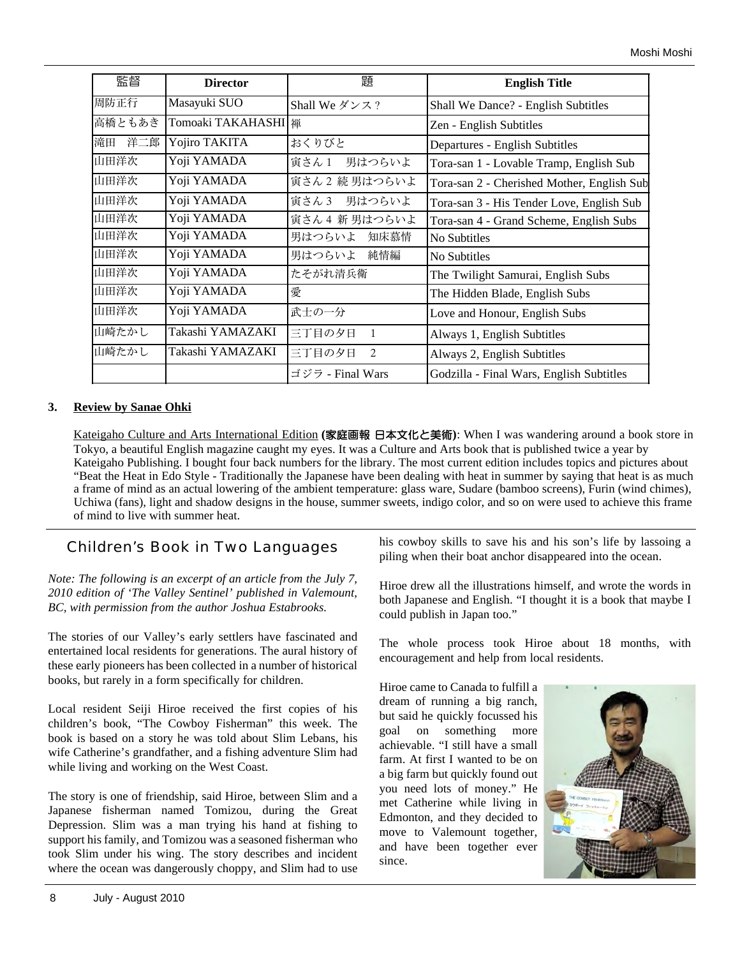| 監督        | <b>Director</b>       | 題                        | <b>English Title</b>                       |  |
|-----------|-----------------------|--------------------------|--------------------------------------------|--|
| 周防正行      | Masayuki SUO          | Shall We ダンス?            | Shall We Dance? - English Subtitles        |  |
| 高橋ともあき    | Tomoaki TAKAHASHI   禅 |                          | Zen - English Subtitles                    |  |
| 滝田<br>洋二郎 | Yojiro TAKITA         | おくりびと                    | Departures - English Subtitles             |  |
| 山田洋次      | Yoji YAMADA           | 寅さん1 男はつらいよ              | Tora-san 1 - Lovable Tramp, English Sub    |  |
| 山田洋次      | Yoji YAMADA           | 寅さん2続男はつらいよ              | Tora-san 2 - Cherished Mother, English Sub |  |
| 山田洋次      | Yoji YAMADA           | 寅さん3 男はつらいよ              | Tora-san 3 - His Tender Love, English Sub  |  |
| 山田洋次      | Yoji YAMADA           | 寅さん4 新男はつらいよ             | Tora-san 4 - Grand Scheme, English Subs    |  |
| 山田洋次      | Yoji YAMADA           | 男はつらいよ<br>知床慕情           | No Subtitles                               |  |
| 山田洋次      | Yoji YAMADA           | 男はつらいよ 純情編               | No Subtitles                               |  |
| 山田洋次      | Yoji YAMADA           | たそがれ清兵衛                  | The Twilight Samurai, English Subs         |  |
| 山田洋次      | Yoji YAMADA           | 愛                        | The Hidden Blade, English Subs             |  |
| 山田洋次      | Yoji YAMADA           | 武士の一分                    | Love and Honour, English Subs              |  |
| 山崎たかし     | Takashi YAMAZAKI      | 三丁目の夕日<br>$\mathbf{1}$   | Always 1, English Subtitles                |  |
| 山崎たかし     | Takashi YAMAZAKI      | 三丁目の夕日<br>$\overline{2}$ | Always 2, English Subtitles                |  |
|           |                       | ゴジラ - Final Wars         | Godzilla - Final Wars, English Subtitles   |  |

### **3. Review by Sanae Ohki**

Kateigaho Culture and Arts International Edition **(**家庭画報 日本文化と美術**)**: When I was wandering around a book store in Tokyo, a beautiful English magazine caught my eyes. It was a Culture and Arts book that is published twice a year by Kateigaho Publishing. I bought four back numbers for the library. The most current edition includes topics and pictures about "Beat the Heat in Edo Style - Traditionally the Japanese have been dealing with heat in summer by saying that heat is as much a frame of mind as an actual lowering of the ambient temperature: glass ware, Sudare (bamboo screens), Furin (wind chimes), Uchiwa (fans), light and shadow designs in the house, summer sweets, indigo color, and so on were used to achieve this frame of mind to live with summer heat.

## Children's Book in Two Languages

*Note: The following is an excerpt of an article from the July 7, 2010 edition of 'The Valley Sentinel' published in Valemount, BC, with permission from the author Joshua Estabrooks.*

The stories of our Valley's early settlers have fascinated and entertained local residents for generations. The aural history of these early pioneers has been collected in a number of historical books, but rarely in a form specifically for children.

Local resident Seiji Hiroe received the first copies of his children's book, "The Cowboy Fisherman" this week. The book is based on a story he was told about Slim Lebans, his wife Catherine's grandfather, and a fishing adventure Slim had while living and working on the West Coast.

The story is one of friendship, said Hiroe, between Slim and a Japanese fisherman named Tomizou, during the Great Depression. Slim was a man trying his hand at fishing to support his family, and Tomizou was a seasoned fisherman who took Slim under his wing. The story describes and incident where the ocean was dangerously choppy, and Slim had to use

his cowboy skills to save his and his son's life by lassoing a piling when their boat anchor disappeared into the ocean.

Hiroe drew all the illustrations himself, and wrote the words in both Japanese and English. "I thought it is a book that maybe I could publish in Japan too."

The whole process took Hiroe about 18 months, with encouragement and help from local residents.

Hiroe came to Canada to fulfill a dream of running a big ranch, but said he quickly focussed his goal on something more achievable. "I still have a small farm. At first I wanted to be on a big farm but quickly found out you need lots of money." He met Catherine while living in Edmonton, and they decided to move to Valemount together, and have been together ever since.